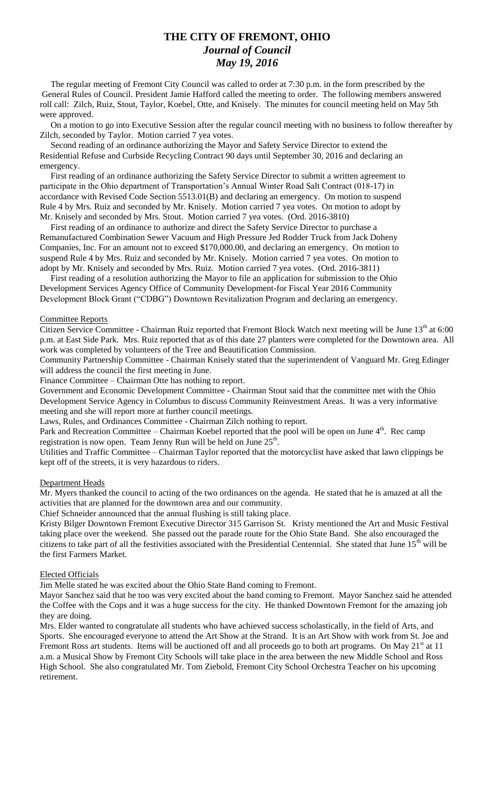# **THE CITY OF FREMONT, OHIO** *Journal of Council May 19, 2016*

 The regular meeting of Fremont City Council was called to order at 7:30 p.m. in the form prescribed by the General Rules of Council. President Jamie Hafford called the meeting to order. The following members answered roll call: Zilch, Ruiz, Stout, Taylor, Koebel, Otte, and Knisely. The minutes for council meeting held on May 5th were approved.

 On a motion to go into Executive Session after the regular council meeting with no business to follow thereafter by Zilch, seconded by Taylor. Motion carried 7 yea votes.

 Second reading of an ordinance authorizing the Mayor and Safety Service Director to extend the Residential Refuse and Curbside Recycling Contract 90 days until September 30, 2016 and declaring an emergency.

 First reading of an ordinance authorizing the Safety Service Director to submit a written agreement to participate in the Ohio department of Transportation's Annual Winter Road Salt Contract (018-17) in accordance with Revised Code Section 5513.01(B) and declaring an emergency. On motion to suspend Rule 4 by Mrs. Ruiz and seconded by Mr. Knisely. Motion carried 7 yea votes. On motion to adopt by Mr. Knisely and seconded by Mrs. Stout. Motion carried 7 yea votes. (Ord. 2016-3810)

 First reading of an ordinance to authorize and direct the Safety Service Director to purchase a Remanufactured Combination Sewer Vacuum and High Pressure Jed Rodder Truck from Jack Doheny Companies, Inc. For an amount not to exceed \$170,000.00, and declaring an emergency. On motion to suspend Rule 4 by Mrs. Ruiz and seconded by Mr. Knisely. Motion carried 7 yea votes. On motion to adopt by Mr. Knisely and seconded by Mrs. Ruiz. Motion carried 7 yea votes. (Ord. 2016-3811)

 First reading of a resolution authorizing the Mayor to file an application for submission to the Ohio Development Services Agency Office of Community Development-for Fiscal Year 2016 Community Development Block Grant ("CDBG") Downtown Revitalization Program and declaring an emergency.

### Committee Reports

Citizen Service Committee - Chairman Ruiz reported that Fremont Block Watch next meeting will be June 13<sup>th</sup> at 6:00 p.m. at East Side Park. Mrs. Ruiz reported that as of this date 27 planters were completed for the Downtown area. All work was completed by volunteers of the Tree and Beautification Commission.

Community Partnership Committee - Chairman Knisely stated that the superintendent of Vanguard Mr. Greg Edinger will address the council the first meeting in June.

Finance Committee – Chairman Otte has nothing to report.

Government and Economic Development Committee - Chairman Stout said that the committee met with the Ohio Development Service Agency in Columbus to discuss Community Reinvestment Areas. It was a very informative meeting and she will report more at further council meetings.

Laws, Rules, and Ordinances Committee - Chairman Zilch nothing to report.

Park and Recreation Committee – Chairman Koebel reported that the pool will be open on June 4<sup>th</sup>. Rec camp registration is now open. Team Jenny Run will be held on June  $25<sup>th</sup>$ .

Utilities and Traffic Committee – Chairman Taylor reported that the motorcyclist have asked that lawn clippings be kept off of the streets, it is very hazardous to riders.

## Department Heads

Mr. Myers thanked the council to acting of the two ordinances on the agenda. He stated that he is amazed at all the activities that are planned for the downtown area and our community.

Chief Schneider announced that the annual flushing is still taking place.

Kristy Bilger Downtown Fremont Executive Director 315 Garrison St. Kristy mentioned the Art and Music Festival taking place over the weekend. She passed out the parade route for the Ohio State Band. She also encouraged the citizens to take part of all the festivities associated with the Presidential Centennial. She stated that June 15<sup>th</sup> will be the first Farmers Market.

#### Elected Officials

Jim Melle stated he was excited about the Ohio State Band coming to Fremont.

Mayor Sanchez said that he too was very excited about the band coming to Fremont. Mayor Sanchez said he attended the Coffee with the Cops and it was a huge success for the city. He thanked Downtown Fremont for the amazing job they are doing.

Mrs. Elder wanted to congratulate all students who have achieved success scholastically, in the field of Arts, and Sports. She encouraged everyone to attend the Art Show at the Strand. It is an Art Show with work from St. Joe and Fremont Ross art students. Items will be auctioned off and all proceeds go to both art programs. On May  $21<sup>st</sup>$  at 11 a.m. a Musical Show by Fremont City Schools will take place in the area between the new Middle School and Ross High School. She also congratulated Mr. Tom Ziebold, Fremont City School Orchestra Teacher on his upcoming retirement.